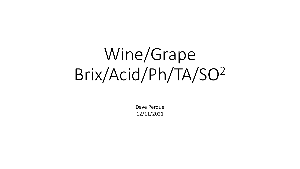# Wine/Grape Brix/Acid/Ph/TA/SO<sup>2</sup>

Dave Perdue 12/11/2021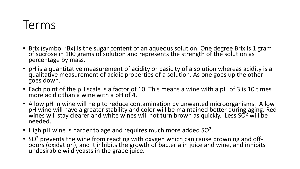#### Terms

- Brix (symbol °Bx) is the sugar content of an aqueous solution. One degree Brix is 1 gram of sucrose in 100 grams of solution and represents the strength of the solution as percentage by mass.
- pH is a quantitative measurement of acidity or basicity of a solution whereas acidity is a qualitative measurement of acidic properties of a solution. As one goes up the other goes down.
- Each point of the pH scale is a factor of 10. This means a wine with a pH of 3 is 10 times more acidic than a wine with a pH of 4.
- A low pH in wine will help to reduce contamination by unwanted microorganisms. A low pH wine will have a greater stability and color will be maintained better during aging. Red wines will stay clearer and white wines will not turn brown as quickly. Less SO<sup>2</sup> will be needed.
- High pH wine is harder to age and requires much more added SO<sup>2</sup>.
- SO<sup>2</sup> prevents the wine from reacting with oxygen which can cause browning and offodors (oxidation), and it inhibits the growth of bacteria in juice and wine, and inhibits undesirable wild yeasts in the grape juice.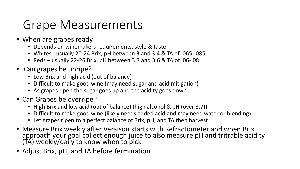### Grape Measurements

- When are grapes ready
	- Depends on winemakers requirements, style & taste
	- Whites usually 20-24 Brix, pH between 3 and 3.4 & TA of .065-.085
	- Reds usually 22-26 Brix, pH between 3.3 and 3.6 & TA of .06-.08
- Can grapes be unripe?
	- Low Brix and high acid (out of balance)
	- Difficult to make good wine (may need sugar and acid mitigation)
	- As grapes ripen the sugar goes up and the acidity goes down
- Can Grapes be overripe?
	- High Brix and low acid (out of balance) (high alcohol & pH (over 3.7))
	- Difficult to make good wine (likely needs added acid and may need water or blending)
	- Let grapes ripen to a perfect balance of Brix, pH, and TA then harvest
- Measure Brix weekly after Veraison starts with Refractometer and when Brix approach your goal collect enough juice to also measure pH and tritrable acidity (TA) weekly/daily to know when to pick
- Adjust Brix, pH, and TA before fermination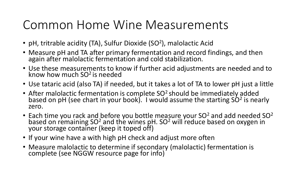#### Common Home Wine Measurements

- pH, tritrable acidity (TA), Sulfur Dioxide (SO<sup>2</sup>), malolactic Acid
- Measure pH and TA after primary fermentation and record findings, and then again after malolactic fermentation and cold stabilization.
- Use these measurements to know if further acid adjustments are needed and to know how much SO<sup>2</sup> is needed
- Use tataric acid (also TA) if needed, but it takes a lot of TA to lower pH just a little
- After malolactic fermentation is complete SO<sup>2</sup> should be immediately added based on pH (see chart in your book). I would assume the starting  $S\dot{O}^2$  is nearly zero.
- Each time you rack and before you bottle measure your SO<sup>2</sup> and add needed SO<sup>2</sup> based on remaining SO<sup>2</sup> and the wines pH. SO<sup>2</sup> will reduce based on oxygen in your storage container (keep it toped off)
- If your wine have a with high pH check and adjust more often
- Measure malolactic to determine if secondary (malolactic) fermentation is complete (see NGGW resource page for info)